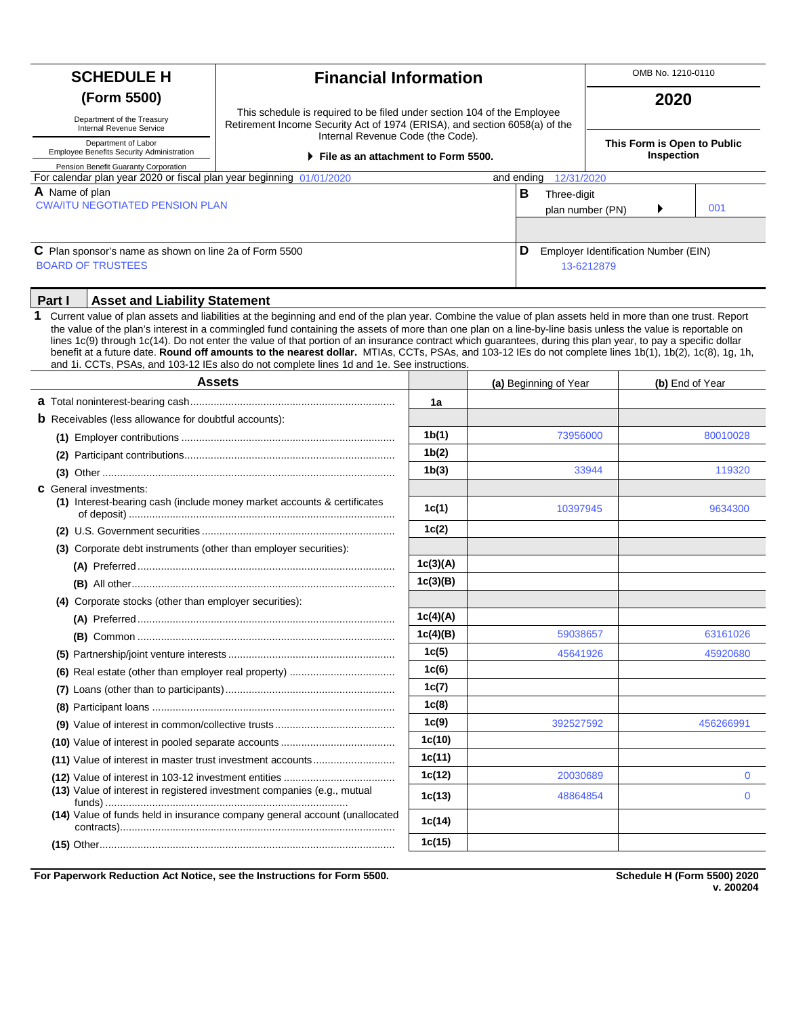| <b>SCHEDULE H</b><br><b>Financial Information</b>                                                                                                                                                                                                                                                                                                                                                                                                                                                                                                                                                                                                                                                                                                          |                                                                                                                                                       |          |          | OMB No. 1210-0110                                  |                                           |                 |           |  |
|------------------------------------------------------------------------------------------------------------------------------------------------------------------------------------------------------------------------------------------------------------------------------------------------------------------------------------------------------------------------------------------------------------------------------------------------------------------------------------------------------------------------------------------------------------------------------------------------------------------------------------------------------------------------------------------------------------------------------------------------------------|-------------------------------------------------------------------------------------------------------------------------------------------------------|----------|----------|----------------------------------------------------|-------------------------------------------|-----------------|-----------|--|
| (Form 5500)<br>Department of the Treasury<br>Internal Revenue Service                                                                                                                                                                                                                                                                                                                                                                                                                                                                                                                                                                                                                                                                                      | This schedule is required to be filed under section 104 of the Employee<br>Retirement Income Security Act of 1974 (ERISA), and section 6058(a) of the |          |          |                                                    |                                           | 2020            |           |  |
| Internal Revenue Code (the Code).<br>Department of Labor<br>Employee Benefits Security Administration<br>File as an attachment to Form 5500.<br>Pension Benefit Guaranty Corporation                                                                                                                                                                                                                                                                                                                                                                                                                                                                                                                                                                       |                                                                                                                                                       |          |          |                                                    | This Form is Open to Public<br>Inspection |                 |           |  |
| For calendar plan year 2020 or fiscal plan year beginning 01/01/2020                                                                                                                                                                                                                                                                                                                                                                                                                                                                                                                                                                                                                                                                                       |                                                                                                                                                       |          |          | and ending                                         | 12/31/2020                                |                 |           |  |
| A Name of plan                                                                                                                                                                                                                                                                                                                                                                                                                                                                                                                                                                                                                                                                                                                                             |                                                                                                                                                       |          |          | в<br>Three-digit                                   |                                           |                 |           |  |
| <b>CWA/ITU NEGOTIATED PENSION PLAN</b>                                                                                                                                                                                                                                                                                                                                                                                                                                                                                                                                                                                                                                                                                                                     |                                                                                                                                                       |          |          |                                                    | plan number (PN)                          |                 | 001       |  |
|                                                                                                                                                                                                                                                                                                                                                                                                                                                                                                                                                                                                                                                                                                                                                            |                                                                                                                                                       |          |          |                                                    |                                           |                 |           |  |
| C Plan sponsor's name as shown on line 2a of Form 5500<br><b>BOARD OF TRUSTEES</b>                                                                                                                                                                                                                                                                                                                                                                                                                                                                                                                                                                                                                                                                         |                                                                                                                                                       |          | D        | Employer Identification Number (EIN)<br>13-6212879 |                                           |                 |           |  |
| Part I<br><b>Asset and Liability Statement</b>                                                                                                                                                                                                                                                                                                                                                                                                                                                                                                                                                                                                                                                                                                             |                                                                                                                                                       |          |          |                                                    |                                           |                 |           |  |
| 1<br>Current value of plan assets and liabilities at the beginning and end of the plan year. Combine the value of plan assets held in more than one trust. Report<br>the value of the plan's interest in a commingled fund containing the assets of more than one plan on a line-by-line basis unless the value is reportable on<br>lines 1c(9) through 1c(14). Do not enter the value of that portion of an insurance contract which guarantees, during this plan year, to pay a specific dollar<br>benefit at a future date. Round off amounts to the nearest dollar. MTIAs, CCTs, PSAs, and 103-12 IEs do not complete lines 1b(1), 1b(2), 1c(8), 1g, 1h,<br>and 1i. CCTs, PSAs, and 103-12 IEs also do not complete lines 1d and 1e. See instructions. |                                                                                                                                                       |          |          |                                                    |                                           |                 |           |  |
|                                                                                                                                                                                                                                                                                                                                                                                                                                                                                                                                                                                                                                                                                                                                                            | <b>Assets</b>                                                                                                                                         |          |          | (a) Beginning of Year                              |                                           | (b) End of Year |           |  |
|                                                                                                                                                                                                                                                                                                                                                                                                                                                                                                                                                                                                                                                                                                                                                            |                                                                                                                                                       | 1a       |          |                                                    |                                           |                 |           |  |
| <b>b</b> Receivables (less allowance for doubtful accounts):                                                                                                                                                                                                                                                                                                                                                                                                                                                                                                                                                                                                                                                                                               |                                                                                                                                                       |          |          |                                                    |                                           |                 |           |  |
|                                                                                                                                                                                                                                                                                                                                                                                                                                                                                                                                                                                                                                                                                                                                                            |                                                                                                                                                       | 1b(1)    |          |                                                    | 73956000                                  |                 | 80010028  |  |
|                                                                                                                                                                                                                                                                                                                                                                                                                                                                                                                                                                                                                                                                                                                                                            |                                                                                                                                                       | 1b(2)    |          |                                                    |                                           |                 |           |  |
|                                                                                                                                                                                                                                                                                                                                                                                                                                                                                                                                                                                                                                                                                                                                                            |                                                                                                                                                       | 1b(3)    |          |                                                    | 33944                                     |                 | 119320    |  |
| <b>C</b> General investments:<br>(1) Interest-bearing cash (include money market accounts & certificates                                                                                                                                                                                                                                                                                                                                                                                                                                                                                                                                                                                                                                                   |                                                                                                                                                       | 1c(1)    |          |                                                    | 10397945                                  |                 | 9634300   |  |
|                                                                                                                                                                                                                                                                                                                                                                                                                                                                                                                                                                                                                                                                                                                                                            |                                                                                                                                                       | 1c(2)    |          |                                                    |                                           |                 |           |  |
| (3) Corporate debt instruments (other than employer securities):                                                                                                                                                                                                                                                                                                                                                                                                                                                                                                                                                                                                                                                                                           |                                                                                                                                                       |          |          |                                                    |                                           |                 |           |  |
|                                                                                                                                                                                                                                                                                                                                                                                                                                                                                                                                                                                                                                                                                                                                                            |                                                                                                                                                       | 1c(3)(A) |          |                                                    |                                           |                 |           |  |
|                                                                                                                                                                                                                                                                                                                                                                                                                                                                                                                                                                                                                                                                                                                                                            |                                                                                                                                                       | 1c(3)(B) |          |                                                    |                                           |                 |           |  |
| (4) Corporate stocks (other than employer securities):                                                                                                                                                                                                                                                                                                                                                                                                                                                                                                                                                                                                                                                                                                     |                                                                                                                                                       |          |          |                                                    |                                           |                 |           |  |
|                                                                                                                                                                                                                                                                                                                                                                                                                                                                                                                                                                                                                                                                                                                                                            |                                                                                                                                                       | 1c(4)(A) |          |                                                    |                                           |                 |           |  |
|                                                                                                                                                                                                                                                                                                                                                                                                                                                                                                                                                                                                                                                                                                                                                            |                                                                                                                                                       | 1c(4)(B) |          |                                                    | 59038657                                  |                 | 63161026  |  |
|                                                                                                                                                                                                                                                                                                                                                                                                                                                                                                                                                                                                                                                                                                                                                            |                                                                                                                                                       | 1c(5)    |          |                                                    | 45641926                                  |                 | 45920680  |  |
|                                                                                                                                                                                                                                                                                                                                                                                                                                                                                                                                                                                                                                                                                                                                                            |                                                                                                                                                       | 1c(6)    |          |                                                    |                                           |                 |           |  |
|                                                                                                                                                                                                                                                                                                                                                                                                                                                                                                                                                                                                                                                                                                                                                            |                                                                                                                                                       | 1c(7)    |          |                                                    |                                           |                 |           |  |
|                                                                                                                                                                                                                                                                                                                                                                                                                                                                                                                                                                                                                                                                                                                                                            |                                                                                                                                                       | 1c(8)    |          |                                                    |                                           |                 |           |  |
|                                                                                                                                                                                                                                                                                                                                                                                                                                                                                                                                                                                                                                                                                                                                                            |                                                                                                                                                       | 1c(9)    |          |                                                    | 392527592                                 |                 | 456266991 |  |
|                                                                                                                                                                                                                                                                                                                                                                                                                                                                                                                                                                                                                                                                                                                                                            |                                                                                                                                                       | 1c(10)   |          |                                                    |                                           |                 |           |  |
| (11) Value of interest in master trust investment accounts                                                                                                                                                                                                                                                                                                                                                                                                                                                                                                                                                                                                                                                                                                 |                                                                                                                                                       | 1c(11)   |          |                                                    |                                           |                 |           |  |
|                                                                                                                                                                                                                                                                                                                                                                                                                                                                                                                                                                                                                                                                                                                                                            |                                                                                                                                                       | 1c(12)   | 20030689 |                                                    |                                           | 0               |           |  |
| (13) Value of interest in registered investment companies (e.g., mutual                                                                                                                                                                                                                                                                                                                                                                                                                                                                                                                                                                                                                                                                                    |                                                                                                                                                       | 1c(13)   |          |                                                    | 48864854                                  |                 | $\bf{0}$  |  |
|                                                                                                                                                                                                                                                                                                                                                                                                                                                                                                                                                                                                                                                                                                                                                            | (14) Value of funds held in insurance company general account (unallocated                                                                            | 1c(14)   |          |                                                    |                                           |                 |           |  |
|                                                                                                                                                                                                                                                                                                                                                                                                                                                                                                                                                                                                                                                                                                                                                            |                                                                                                                                                       | 1c(15)   |          |                                                    |                                           |                 |           |  |

**For Paperwork Reduction Act Notice, see the Instructions for Form 5500.** 

**Schedule H (Form 5500) 2020**<br>v. 200204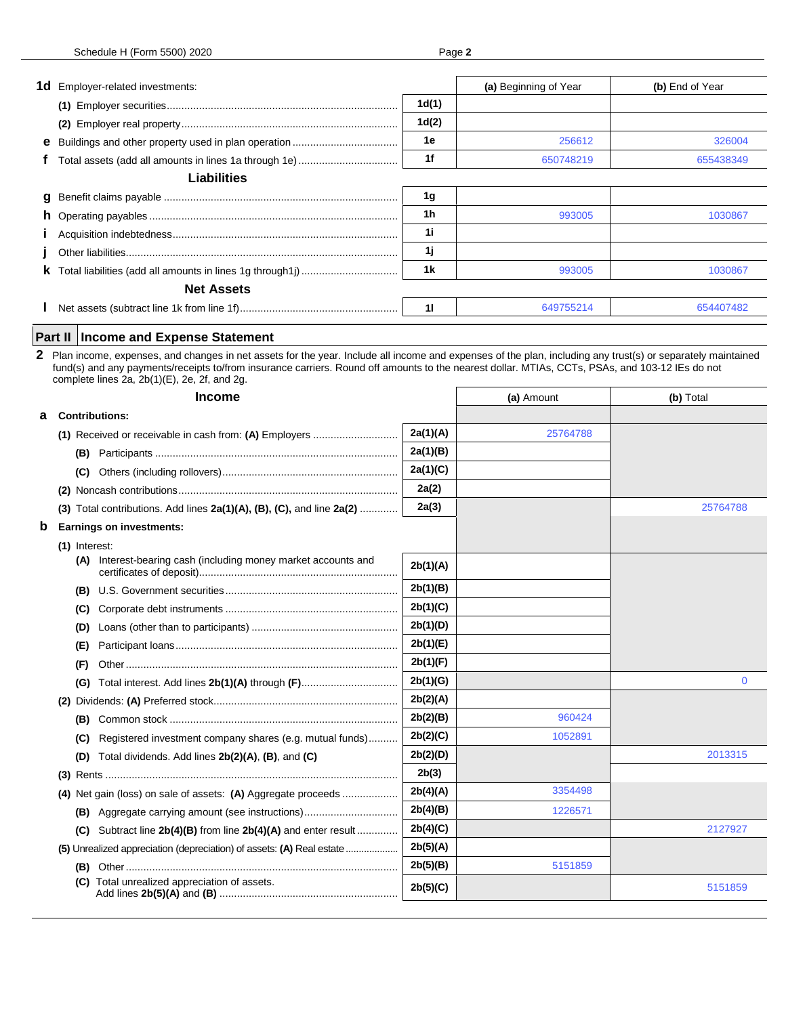|             | <b>1d</b> Employer-related investments:                                                                                                                                                                                                                                                                                                                          |          | (a) Beginning of Year | (b) End of Year |  |  |
|-------------|------------------------------------------------------------------------------------------------------------------------------------------------------------------------------------------------------------------------------------------------------------------------------------------------------------------------------------------------------------------|----------|-----------------------|-----------------|--|--|
|             |                                                                                                                                                                                                                                                                                                                                                                  | 1d(1)    |                       |                 |  |  |
|             |                                                                                                                                                                                                                                                                                                                                                                  | 1d(2)    |                       |                 |  |  |
|             |                                                                                                                                                                                                                                                                                                                                                                  | 1е       | 256612                | 326004          |  |  |
|             |                                                                                                                                                                                                                                                                                                                                                                  | 1f       | 650748219             | 655438349       |  |  |
|             | <b>Liabilities</b>                                                                                                                                                                                                                                                                                                                                               |          |                       |                 |  |  |
| a           |                                                                                                                                                                                                                                                                                                                                                                  | 1g       |                       |                 |  |  |
|             |                                                                                                                                                                                                                                                                                                                                                                  | 1h       | 993005                | 1030867         |  |  |
|             |                                                                                                                                                                                                                                                                                                                                                                  | 1i       |                       |                 |  |  |
|             |                                                                                                                                                                                                                                                                                                                                                                  | 1j       |                       |                 |  |  |
|             |                                                                                                                                                                                                                                                                                                                                                                  | 1k       | 993005                | 1030867         |  |  |
|             | <b>Net Assets</b>                                                                                                                                                                                                                                                                                                                                                |          |                       |                 |  |  |
|             |                                                                                                                                                                                                                                                                                                                                                                  | 11       | 649755214             | 654407482       |  |  |
|             |                                                                                                                                                                                                                                                                                                                                                                  |          |                       |                 |  |  |
|             | <b>Income and Expense Statement</b><br>Part II                                                                                                                                                                                                                                                                                                                   |          |                       |                 |  |  |
|             | 2 Plan income, expenses, and changes in net assets for the year. Include all income and expenses of the plan, including any trust(s) or separately maintained<br>fund(s) and any payments/receipts to/from insurance carriers. Round off amounts to the nearest dollar. MTIAs, CCTs, PSAs, and 103-12 IEs do not<br>complete lines 2a, 2b(1)(E), 2e, 2f, and 2g. |          |                       |                 |  |  |
|             | <b>Income</b>                                                                                                                                                                                                                                                                                                                                                    |          | (a) Amount            | (b) Total       |  |  |
| а           | <b>Contributions:</b>                                                                                                                                                                                                                                                                                                                                            |          |                       |                 |  |  |
|             | (1) Received or receivable in cash from: (A) Employers                                                                                                                                                                                                                                                                                                           | 2a(1)(A) | 25764788              |                 |  |  |
|             |                                                                                                                                                                                                                                                                                                                                                                  | 2a(1)(B) |                       |                 |  |  |
|             | (C)                                                                                                                                                                                                                                                                                                                                                              | 2a(1)(C) |                       |                 |  |  |
|             |                                                                                                                                                                                                                                                                                                                                                                  | 2a(2)    |                       |                 |  |  |
|             | (3) Total contributions. Add lines $2a(1)(A)$ , $(B)$ , $(C)$ , and line $2a(2)$                                                                                                                                                                                                                                                                                 | 2a(3)    |                       | 25764788        |  |  |
| $\mathbf b$ | <b>Earnings on investments:</b>                                                                                                                                                                                                                                                                                                                                  |          |                       |                 |  |  |
|             | $(1)$ Interest:                                                                                                                                                                                                                                                                                                                                                  |          |                       |                 |  |  |
|             | Interest-bearing cash (including money market accounts and<br>(A)                                                                                                                                                                                                                                                                                                | 2b(1)(A) |                       |                 |  |  |
|             |                                                                                                                                                                                                                                                                                                                                                                  | 2b(1)(B) |                       |                 |  |  |
|             | (C)                                                                                                                                                                                                                                                                                                                                                              | 2b(1)(C) |                       |                 |  |  |
|             |                                                                                                                                                                                                                                                                                                                                                                  | 2b(1)(D) |                       |                 |  |  |
|             | (E)                                                                                                                                                                                                                                                                                                                                                              | 2b(1)(E) |                       |                 |  |  |
|             | (F)                                                                                                                                                                                                                                                                                                                                                              | 2b(1)(F) |                       |                 |  |  |
|             | Total interest. Add lines 2b(1)(A) through (F)<br>(G)                                                                                                                                                                                                                                                                                                            | 2b(1)(G) |                       | $\mathbf 0$     |  |  |
|             |                                                                                                                                                                                                                                                                                                                                                                  | 2b(2)(A) |                       |                 |  |  |
|             | (B)                                                                                                                                                                                                                                                                                                                                                              | 2b(2)(B) | 960424                |                 |  |  |
|             | Registered investment company shares (e.g. mutual funds)<br>(C)                                                                                                                                                                                                                                                                                                  | 2b(2)(C) | 1052891               |                 |  |  |
|             | Total dividends. Add lines 2b(2)(A), (B), and (C)<br>(D)                                                                                                                                                                                                                                                                                                         | 2b(2)(D) |                       | 2013315         |  |  |
|             |                                                                                                                                                                                                                                                                                                                                                                  | 2b(3)    |                       |                 |  |  |
|             | (4) Net gain (loss) on sale of assets: (A) Aggregate proceeds                                                                                                                                                                                                                                                                                                    | 2b(4)(A) | 3354498               |                 |  |  |
|             |                                                                                                                                                                                                                                                                                                                                                                  | 2b(4)(B) | 1226571               |                 |  |  |
|             | <b>(B)</b> Aggregate carrying amount (see instructions)                                                                                                                                                                                                                                                                                                          | 2b(4)(C) |                       | 2127927         |  |  |
|             | Subtract line 2b(4)(B) from line 2b(4)(A) and enter result<br>(C)                                                                                                                                                                                                                                                                                                |          |                       |                 |  |  |
|             |                                                                                                                                                                                                                                                                                                                                                                  | 2b(5)(A) |                       |                 |  |  |
|             |                                                                                                                                                                                                                                                                                                                                                                  | 2b(5)(B) | 5151859               |                 |  |  |

5151859

**(C)** Total unrealized appreciation of assets. Add lines **2b(5)(A)** and **(B)** ............................................................. **2b(5)(C)**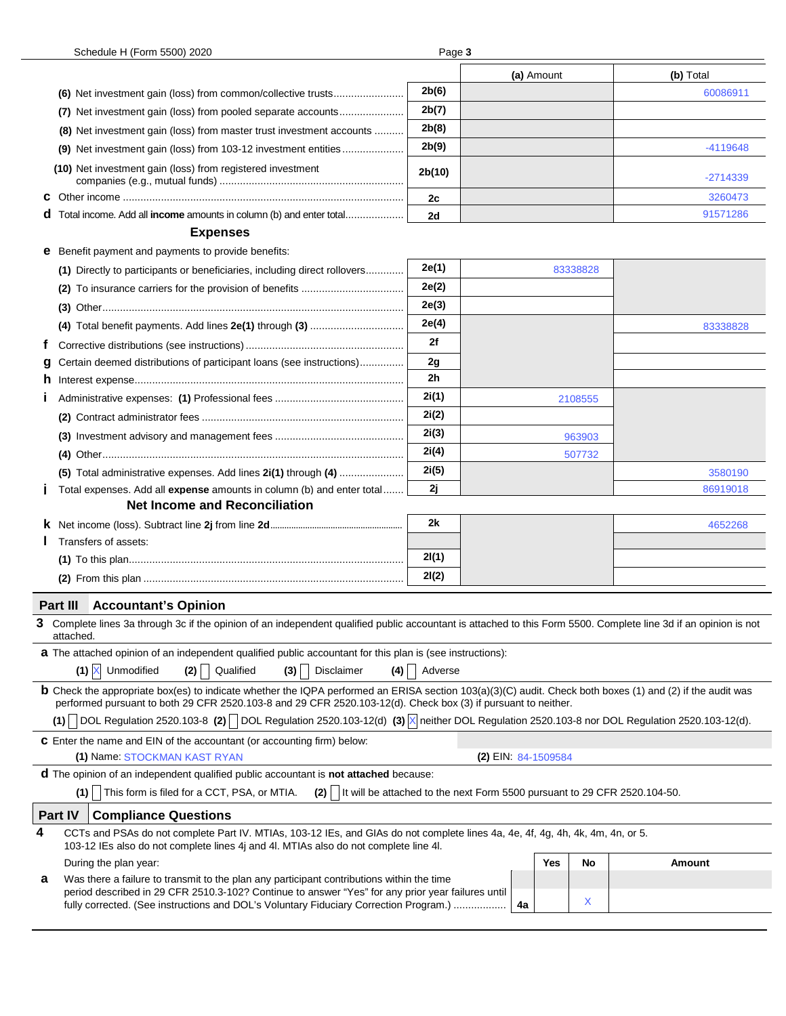| Schedule H (Form 5500) 2020<br>Page 3                                                                                                                                                                                                                                             |         |  |            |          |            |  |  |  |
|-----------------------------------------------------------------------------------------------------------------------------------------------------------------------------------------------------------------------------------------------------------------------------------|---------|--|------------|----------|------------|--|--|--|
|                                                                                                                                                                                                                                                                                   |         |  | (a) Amount |          | (b) Total  |  |  |  |
|                                                                                                                                                                                                                                                                                   | 2b(6)   |  |            |          | 60086911   |  |  |  |
| (7) Net investment gain (loss) from pooled separate accounts                                                                                                                                                                                                                      |         |  |            |          |            |  |  |  |
| (8) Net investment gain (loss) from master trust investment accounts                                                                                                                                                                                                              |         |  |            |          |            |  |  |  |
|                                                                                                                                                                                                                                                                                   |         |  |            |          | -4119648   |  |  |  |
| (10) Net investment gain (loss) from registered investment                                                                                                                                                                                                                        | 2b(10)  |  |            |          | $-2714339$ |  |  |  |
|                                                                                                                                                                                                                                                                                   | 2c      |  |            |          | 3260473    |  |  |  |
| d Total income. Add all income amounts in column (b) and enter total                                                                                                                                                                                                              | 2d      |  |            |          | 91571286   |  |  |  |
| <b>Expenses</b>                                                                                                                                                                                                                                                                   |         |  |            |          |            |  |  |  |
| <b>e</b> Benefit payment and payments to provide benefits:                                                                                                                                                                                                                        |         |  |            |          |            |  |  |  |
| (1) Directly to participants or beneficiaries, including direct rollovers                                                                                                                                                                                                         | 2e(1)   |  |            | 83338828 |            |  |  |  |
|                                                                                                                                                                                                                                                                                   | 2e(2)   |  |            |          |            |  |  |  |
|                                                                                                                                                                                                                                                                                   | 2e(3)   |  |            |          |            |  |  |  |
|                                                                                                                                                                                                                                                                                   | 2e(4)   |  |            |          | 83338828   |  |  |  |
| Ť.                                                                                                                                                                                                                                                                                | 2f      |  |            |          |            |  |  |  |
| Certain deemed distributions of participant loans (see instructions)<br>g                                                                                                                                                                                                         | 2g      |  |            |          |            |  |  |  |
|                                                                                                                                                                                                                                                                                   | 2h      |  |            |          |            |  |  |  |
|                                                                                                                                                                                                                                                                                   | 2i(1)   |  |            | 2108555  |            |  |  |  |
|                                                                                                                                                                                                                                                                                   | 2i(2)   |  |            |          |            |  |  |  |
|                                                                                                                                                                                                                                                                                   | 2i(3)   |  |            | 963903   |            |  |  |  |
|                                                                                                                                                                                                                                                                                   | 2i(4)   |  |            | 507732   |            |  |  |  |
| (5) Total administrative expenses. Add lines 2i(1) through (4)                                                                                                                                                                                                                    | 2i(5)   |  |            |          | 3580190    |  |  |  |
| Total expenses. Add all <b>expense</b> amounts in column (b) and enter total<br>п                                                                                                                                                                                                 | 2j      |  |            |          | 86919018   |  |  |  |
| <b>Net Income and Reconciliation</b>                                                                                                                                                                                                                                              |         |  |            |          |            |  |  |  |
|                                                                                                                                                                                                                                                                                   | 2k      |  |            |          | 4652268    |  |  |  |
| Transfers of assets:                                                                                                                                                                                                                                                              |         |  |            |          |            |  |  |  |
|                                                                                                                                                                                                                                                                                   | 2I(1)   |  |            |          |            |  |  |  |
|                                                                                                                                                                                                                                                                                   | 2I(2)   |  |            |          |            |  |  |  |
| <b>Part III</b><br><b>Accountant's Opinion</b>                                                                                                                                                                                                                                    |         |  |            |          |            |  |  |  |
| Complete lines 3a through 3c if the opinion of an independent qualified public accountant is attached to this Form 5500. Complete line 3d if an opinion is not<br>attached.                                                                                                       |         |  |            |          |            |  |  |  |
| <b>a</b> The attached opinion of an independent qualified public accountant for this plan is (see instructions):                                                                                                                                                                  |         |  |            |          |            |  |  |  |
| $(1)$ $\times$<br>Unmodified<br>Qualified<br>Disclaimer<br>(2)<br>(3)<br>(4)                                                                                                                                                                                                      | Adverse |  |            |          |            |  |  |  |
| <b>b</b> Check the appropriate box(es) to indicate whether the IQPA performed an ERISA section 103(a)(3)(C) audit. Check both boxes (1) and (2) if the audit was<br>performed pursuant to both 29 CFR 2520.103-8 and 29 CFR 2520.103-12(d). Check box (3) if pursuant to neither. |         |  |            |          |            |  |  |  |
| DOL Regulation 2520.103-8 (2) DOL Regulation 2520.103-12(d) (3)   neither DOL Regulation 2520.103-8 nor DOL Regulation 2520.103-12(d).<br>(1)                                                                                                                                     |         |  |            |          |            |  |  |  |
| <b>C</b> Enter the name and EIN of the accountant (or accounting firm) below:                                                                                                                                                                                                     |         |  |            |          |            |  |  |  |
| (2) EIN: 84-1509584<br>(1) Name: STOCKMAN KAST RYAN                                                                                                                                                                                                                               |         |  |            |          |            |  |  |  |
| <b>d</b> The opinion of an independent qualified public accountant is <b>not attached</b> because:                                                                                                                                                                                |         |  |            |          |            |  |  |  |
| This form is filed for a CCT, PSA, or MTIA.<br>It will be attached to the next Form 5500 pursuant to 29 CFR 2520.104-50.<br>(1)<br>(2)                                                                                                                                            |         |  |            |          |            |  |  |  |
| Part IV<br><b>Compliance Questions</b>                                                                                                                                                                                                                                            |         |  |            |          |            |  |  |  |
| 4<br>CCTs and PSAs do not complete Part IV. MTIAs, 103-12 IEs, and GIAs do not complete lines 4a, 4e, 4f, 4g, 4h, 4k, 4m, 4n, or 5.<br>103-12 IEs also do not complete lines 4j and 4l. MTIAs also do not complete line 4l.                                                       |         |  |            |          |            |  |  |  |
| During the plan year:                                                                                                                                                                                                                                                             |         |  | Yes        | No       | Amount     |  |  |  |
| Was there a failure to transmit to the plan any participant contributions within the time<br>а<br>period described in 29 CFR 2510.3-102? Continue to answer "Yes" for any prior year failures until                                                                               |         |  |            | X        |            |  |  |  |
| fully corrected. (See instructions and DOL's Voluntary Fiduciary Correction Program.)                                                                                                                                                                                             |         |  | 4a         |          |            |  |  |  |